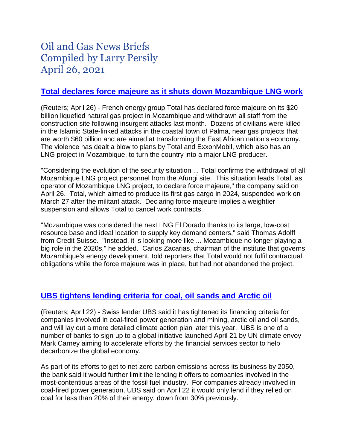# Oil and Gas News Briefs Compiled by Larry Persily April 26, 2021

#### **[Total declares force majeure as it shuts down Mozambique LNG work](https://www.reuters.com/world/africa/frances-total-declares-force-majeure-mozambique-lng-project-2021-04-26/)**

(Reuters; April 26) - French energy group Total has declared force majeure on its \$20 billion liquefied natural gas project in Mozambique and withdrawn all staff from the construction site following insurgent attacks last month. Dozens of civilians were killed in the Islamic State-linked attacks in the coastal town of Palma, near gas projects that are worth \$60 billion and are aimed at transforming the East African nation's economy. The violence has dealt a blow to plans by Total and ExxonMobil, which also has an LNG project in Mozambique, to turn the country into a major LNG producer.

"Considering the evolution of the security situation ... Total confirms the withdrawal of all Mozambique LNG project personnel from the Afungi site. This situation leads Total, as operator of Mozambique LNG project, to declare force majeure," the company said on April 26. Total, which aimed to produce its first gas cargo in 2024, suspended work on March 27 after the militant attack. Declaring force majeure implies a weightier suspension and allows Total to cancel work contracts.

"Mozambique was considered the next LNG El Dorado thanks to its large, low-cost resource base and ideal location to supply key demand centers," said Thomas Adolff from Credit Suisse. "Instead, it is looking more like ... Mozambique no longer playing a big role in the 2020s," he added. Carlos Zacarias, chairman of the institute that governs Mozambique's energy development, told reporters that Total would not fulfil contractual obligations while the force majeure was in place, but had not abandoned the project.

## **UBS [tightens](https://www.reuters.com/business/sustainable-business/ubs-tightens-lending-criteria-coal-arctic-drilling-oil-sands-2021-04-22/) lending criteria for coal, oil sands and Arctic oil**

(Reuters; April 22) - Swiss lender UBS said it has tightened its financing criteria for companies involved in coal-fired power generation and mining, arctic oil and oil sands, and will lay out a more detailed climate action plan later this year. UBS is one of a number of banks to sign up to a global initiative launched April 21 by UN climate envoy Mark Carney aiming to accelerate efforts by the financial services sector to help decarbonize the global economy.

As part of its efforts to get to net-zero carbon emissions across its business by 2050, the bank said it would further limit the lending it offers to companies involved in the most-contentious areas of the fossil fuel industry. For companies already involved in coal-fired power generation, UBS said on April 22 it would only lend if they relied on coal for less than 20% of their energy, down from 30% previously.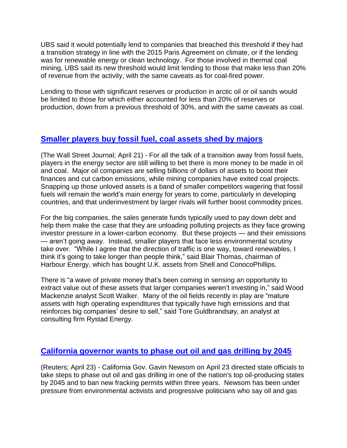UBS said it would potentially lend to companies that breached this threshold if they had a transition strategy in line with the 2015 Paris Agreement on climate, or if the lending was for renewable energy or clean technology. For those involved in thermal coal mining, UBS said its new threshold would limit lending to those that make less than 20% of revenue from the activity, with the same caveats as for coal-fired power.

Lending to those with significant reserves or production in arctic oil or oil sands would be limited to those for which either accounted for less than 20% of reserves or production, down from a previous threshold of 30%, and with the same caveats as coal.

## **[Smaller](https://www.wsj.com/articles/energy-giants-ditch-oil-and-coal-projects-smaller-rivals-want-them-11618997401?mod=itp_wsj&ru=yahoo) players buy fossil fuel, coal assets shed by majors**

(The Wall Street Journal; April 21) - For all the talk of a transition away from fossil fuels, players in the energy sector are still willing to bet there is more money to be made in oil and coal. Major oil companies are selling billions of dollars of assets to boost their finances and cut carbon emissions, while mining companies have exited coal projects. Snapping up those unloved assets is a band of smaller competitors wagering that fossil fuels will remain the world's main energy for years to come, particularly in developing countries, and that underinvestment by larger rivals will further boost commodity prices.

For the big companies, the sales generate funds typically used to pay down debt and help them make the case that they are unloading polluting projects as they face growing investor pressure in a lower-carbon economy. But these projects — and their emissions — aren't going away. Instead, smaller players that face less environmental scrutiny take over. "While I agree that the direction of traffic is one way, toward renewables, I think it's going to take longer than people think," said Blair Thomas, chairman of Harbour Energy, which has bought U.K. assets from Shell and ConocoPhillips.

There is "a wave of private money that's been coming in sensing an opportunity to extract value out of these assets that larger companies weren't investing in," said Wood Mackenzie analyst Scott Walker. Many of the oil fields recently in play are "mature assets with high operating expenditures that typically have high emissions and that reinforces big companies' desire to sell," said Tore Guldbrandsøy, an analyst at consulting firm Rystad Energy.

## **[California governor wants to phase out oil and gas drilling by 2045](https://www.reuters.com/business/energy/california-governor-seeks-end-oil-drilling-state-by-2045-2021-04-23/)**

(Reuters; April 23) - California Gov. Gavin Newsom on April 23 directed state officials to take steps to phase out oil and gas drilling in one of the nation's top oil-producing states by 2045 and to ban new fracking permits within three years. Newsom has been under pressure from environmental activists and progressive politicians who say oil and gas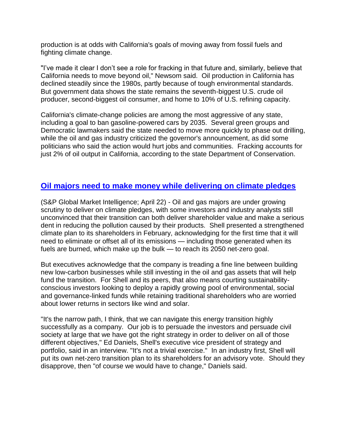production is at odds with California's goals of moving away from fossil fuels and fighting climate change.

"I've made it clear I don't see a role for fracking in that future and, similarly, believe that California needs to move beyond oil," Newsom said. Oil production in California has declined steadily since the 1980s, partly because of tough environmental standards. But government data shows the state remains the seventh-biggest U.S. crude oil producer, second-biggest oil consumer, and home to 10% of U.S. refining capacity.

California's climate-change policies are among the most aggressive of any state, including a goal to ban gasoline-powered cars by 2035. Several green groups and Democratic lawmakers said the state needed to move more quickly to phase out drilling, while the oil and gas industry criticized the governor's announcement, as did some politicians who said the action would hurt jobs and communities. Fracking accounts for just 2% of oil output in California, according to the state Department of Conservation.

#### **Oil majors need to [make money while delivering on climate pledges](https://www.spglobal.com/marketintelligence/en/news-insights/latest-news-headlines/shell-treads-narrow-path-as-scrutiny-of-big-oil-s-climate-targets-intensifies-63666220)**

(S&P Global Market Intelligence; April 22) - Oil and gas majors are under growing scrutiny to deliver on climate pledges, with some investors and industry analysts still unconvinced that their transition can both deliver shareholder value and make a serious dent in reducing the pollution caused by their products. Shell presented a strengthened climate plan to its shareholders in February, acknowledging for the first time that it will need to eliminate or offset all of its emissions — including those generated when its fuels are burned, which make up the bulk — to reach its 2050 net-zero goal.

But executives acknowledge that the company is treading a fine line between building new low-carbon businesses while still investing in the oil and gas assets that will help fund the transition. For Shell and its peers, that also means courting sustainabilityconscious investors looking to deploy a rapidly growing pool of environmental, social and governance-linked funds while retaining traditional shareholders who are worried about lower returns in sectors like wind and solar.

"It's the narrow path, I think, that we can navigate this energy transition highly successfully as a company. Our job is to persuade the investors and persuade civil society at large that we have got the right strategy in order to deliver on all of those different objectives," Ed Daniels, Shell's executive vice president of strategy and portfolio, said in an interview. "It's not a trivial exercise." In an industry first, Shell will put its own net-zero transition plan to its shareholders for an advisory vote. Should they disapprove, then "of course we would have to change," Daniels said.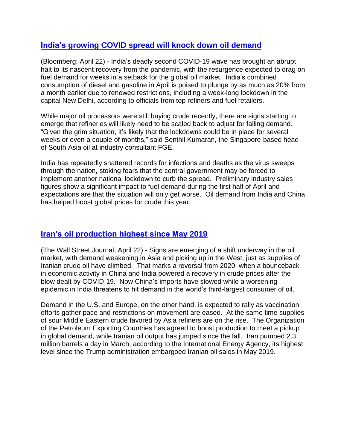## **India's [growing](https://www.bloomberg.com/news/articles/2021-04-23/india-s-covid-crisis-saps-fuel-demand-in-warning-to-oil-recovery) COVID spread will knock down oil demand**

(Bloomberg; April 22) - India's deadly second COVID-19 wave has brought an abrupt halt to its nascent recovery from the pandemic, with the resurgence expected to drag on fuel demand for weeks in a setback for the global oil market. India's combined consumption of diesel and gasoline in April is poised to plunge by as much as 20% from a month earlier due to renewed restrictions, including a week-long lockdown in the capital New Delhi, according to officials from top refiners and fuel retailers.

While major oil processors were still buying crude recently, there are signs starting to emerge that refineries will likely need to be scaled back to adjust for falling demand. "Given the grim situation, it's likely that the lockdowns could be in place for several weeks or even a couple of months," said Senthil Kumaran, the Singapore-based head of South Asia oil at industry consultant FGE.

India has repeatedly shattered records for infections and deaths as the virus sweeps through the nation, stoking fears that the central government may be forced to implement another national lockdown to curb the spread. Preliminary industry sales figures show a significant impact to fuel demand during the first half of April and expectations are that the situation will only get worse. Oil demand from India and China has helped boost global prices for crude this year.

## **[Iran's oil production highest since May 2019](https://www.wsj.com/articles/change-afoot-for-oil-market-as-asian-demand-wanes-iranian-supply-rises-11619094186)**

(The Wall Street Journal; April 22) - Signs are emerging of a shift underway in the oil market, with demand weakening in Asia and picking up in the West, just as supplies of Iranian crude oil have climbed. That marks a reversal from 2020, when a bounceback in economic activity in China and India powered a recovery in crude prices after the blow dealt by COVID-19. Now China's imports have slowed while a worsening epidemic in India threatens to hit demand in the world's third-largest consumer of oil.

Demand in the U.S. and Europe, on the other hand, is expected to rally as vaccination efforts gather pace and restrictions on movement are eased. At the same time supplies of sour Middle Eastern crude favored by Asia refiners are on the rise. The Organization of the Petroleum Exporting Countries has agreed to boost production to meet a pickup in global demand, while Iranian oil output has jumped since the fall. Iran pumped 2.3 million barrels a day in March, according to the International Energy Agency, its highest level since the Trump administration embargoed Iranian oil sales in May 2019.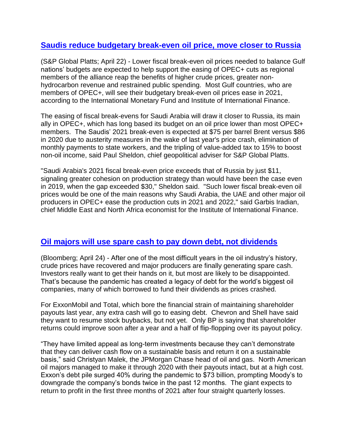## **Saudis reduce budgetary break-even oil [price, move closer to Russia](https://www.spglobal.com/platts/en/market-insights/latest-news/oil/042221-feature-lower-gulf-fiscal-oil-breakeven-prices-seen-supporting-easing-of-opec-cuts)**

(S&P Global Platts; April 22) - Lower fiscal break-even oil prices needed to balance Gulf nations' budgets are expected to help support the easing of OPEC+ cuts as regional members of the alliance reap the benefits of higher crude prices, greater nonhydrocarbon revenue and restrained public spending. Most Gulf countries, who are members of OPEC+, will see their budgetary break-even oil prices ease in 2021, according to the International Monetary Fund and Institute of International Finance.

The easing of fiscal break-evens for Saudi Arabia will draw it closer to Russia, its main ally in OPEC+, which has long based its budget on an oil price lower than most OPEC+ members. The Saudis' 2021 break-even is expected at \$75 per barrel Brent versus \$86 in 2020 due to austerity measures in the wake of last year's price crash, elimination of monthly payments to state workers, and the tripling of value-added tax to 15% to boost non-oil income, said Paul Sheldon, chief geopolitical adviser for S&P Global Platts.

"Saudi Arabia's 2021 fiscal break-even price exceeds that of Russia by just \$11, signaling greater cohesion on production strategy than would have been the case even in 2019, when the gap exceeded \$30," Sheldon said. "Such lower fiscal break-even oil prices would be one of the main reasons why Saudi Arabia, the UAE and other major oil producers in OPEC+ ease the production cuts in 2021 and 2022," said Garbis Iradian, chief Middle East and North Africa economist for the Institute of International Finance.

#### **Oil majors [will use spare cash to pay](https://www.bloomberg.com/news/articles/2021-04-25/big-oil-sees-cash-rolling-in-but-investors-won-t-get-it-yet) down debt, not dividends**

(Bloomberg; April 24) - After one of the most difficult years in the oil industry's history, crude prices have recovered and major producers are finally generating spare cash. Investors really want to get their hands on it, but most are likely to be disappointed. That's because the pandemic has created a legacy of debt for the world's biggest oil companies, many of which borrowed to fund their dividends as prices crashed.

For ExxonMobil and Total, which bore the financial strain of maintaining shareholder payouts last year, any extra cash will go to easing debt. Chevron and Shell have said they want to resume stock buybacks, but not yet. Only BP is saying that shareholder returns could improve soon after a year and a half of flip-flopping over its payout policy.

"They have limited appeal as long-term investments because they can't demonstrate that they can deliver cash flow on a sustainable basis and return it on a sustainable basis," said Christyan Malek, the JPMorgan Chase head of oil and gas. North American oil majors managed to make it through 2020 with their payouts intact, but at a high cost. Exxon's debt pile surged 40% during the pandemic to \$73 billion, prompting Moody's to downgrade the company's bonds twice in the past 12 months. The giant expects to return to profit in the first three months of 2021 after four straight quarterly losses.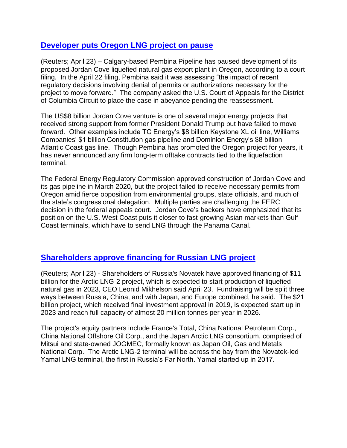#### **[Developer puts Oregon LNG project on pause](https://www.reuters.com/article/pembina-pipe-jordan-cove-lng/pembina-pauses-development-of-oregon-jordan-cove-lng-plant-idUSL1N2MG1YW)**

(Reuters; April 23) – Calgary-based Pembina Pipeline has paused development of its proposed Jordan Cove liquefied natural gas export plant in Oregon, according to a court filing. In the April 22 filing, Pembina said it was assessing "the impact of recent regulatory decisions involving denial of permits or authorizations necessary for the project to move forward." The company asked the U.S. Court of Appeals for the District of Columbia Circuit to place the case in abeyance pending the reassessment.

The US\$8 billion Jordan Cove venture is one of several major energy projects that received strong support from former President Donald Trump but have failed to move forward. Other examples include TC Energy's \$8 billion Keystone XL oil line, Williams Companies' \$1 billion Constitution gas pipeline and Dominion Energy's \$8 billion Atlantic Coast gas line. Though Pembina has promoted the Oregon project for years, it has never announced any firm long-term offtake contracts tied to the liquefaction terminal.

The Federal Energy Regulatory Commission approved construction of Jordan Cove and its gas pipeline in March 2020, but the project failed to receive necessary permits from Oregon amid fierce opposition from environmental groups, state officials, and much of the state's congressional delegation. Multiple parties are challenging the FERC decision in the federal appeals court. Jordan Cove's backers have emphasized that its position on the U.S. West Coast puts it closer to fast-growing Asian markets than Gulf Coast terminals, which have to send LNG through the Panama Canal.

#### **[Shareholders approve financing for Russian LNG project](https://www.reuters.com/business/energy/russias-novatek-approves-arctic-lng-2-financing-11-bln-by-end-q2-2021-04-23/)**

(Reuters; April 23) - Shareholders of Russia's Novatek have approved financing of \$11 billion for the Arctic LNG-2 project, which is expected to start production of liquefied natural gas in 2023, CEO Leonid Mikhelson said April 23. Fundraising will be split three ways between Russia, China, and with Japan, and Europe combined, he said. The \$21 billion project, which received final investment approval in 2019, is expected start up in 2023 and reach full capacity of almost 20 million tonnes per year in 2026.

The project's equity partners include France's Total, China National Petroleum Corp., China National Offshore Oil Corp., and the Japan Arctic LNG consortium, comprised of Mitsui and state-owned JOGMEC, formally known as Japan Oil, Gas and Metals National Corp. The Arctic LNG-2 terminal will be across the bay from the Novatek-led Yamal LNG terminal, the first in Russia's Far North. Yamal started up in 2017.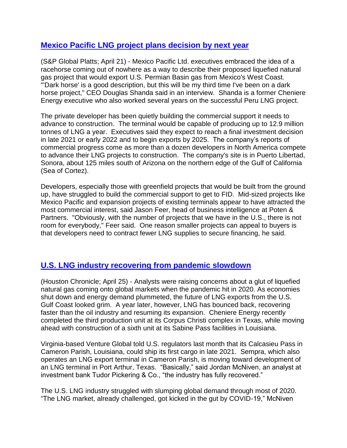#### **Mexico Pacific LNG project plans [decision](https://www.spglobal.com/marketintelligence/en/news-insights/latest-news-headlines/mexico-pacific-is-lining-up-deals-for-black-pearl-of-north-american-lng-63678274) by next year**

(S&P Global Platts; April 21) - Mexico Pacific Ltd. executives embraced the idea of a racehorse coming out of nowhere as a way to describe their proposed liquefied natural gas project that would export U.S. Permian Basin gas from Mexico's West Coast. "'Dark horse' is a good description, but this will be my third time I've been on a dark horse project," CEO Douglas Shanda said in an interview. Shanda is a former Cheniere Energy executive who also worked several years on the successful Peru LNG project.

The private developer has been quietly building the commercial support it needs to advance to construction. The terminal would be capable of producing up to 12.9 million tonnes of LNG a year. Executives said they expect to reach a final investment decision in late 2021 or early 2022 and to begin exports by 2025. The company's reports of commercial progress come as more than a dozen developers in North America compete to advance their LNG projects to construction. The company's site is in Puerto Libertad, Sonora, about 125 miles south of Arizona on the northern edge of the Gulf of California (Sea of Cortez).

Developers, especially those with greenfield projects that would be built from the ground up, have struggled to build the commercial support to get to FID. Mid-sized projects like Mexico Pacific and expansion projects of existing terminals appear to have attracted the most commercial interest, said Jason Feer, head of business intelligence at Poten & Partners. "Obviously, with the number of projects that we have in the U.S., there is not room for everybody," Feer said. One reason smaller projects can appeal to buyers is that developers need to contract fewer LNG supplies to secure financing, he said.

## **[U.S. LNG industry recovering from pandemic slowdown](https://www.houstonchronicle.com/business/energy/article/LNG-industry-rebounds-from-pandemic-but-faces-16123620.php)**

(Houston Chronicle; April 25) - Analysts were raising concerns about a glut of liquefied natural gas coming onto global markets when the pandemic hit in 2020. As economies shut down and energy demand plummeted, the future of LNG exports from the U.S. Gulf Coast looked grim. A year later, however, LNG has bounced back, recovering faster than the oil industry and resuming its expansion. Cheniere Energy recently completed the third production unit at its Corpus Christi complex in Texas, while moving ahead with construction of a sixth unit at its Sabine Pass facilities in Louisiana.

Virginia-based Venture Global told U.S. regulators last month that its Calcasieu Pass in Cameron Parish, Louisiana, could ship its first cargo in late 2021. Sempra, which also operates an LNG export terminal in Cameron Parish, is moving toward development of an LNG terminal in Port Arthur, Texas. "Basically," said Jordan McNiven, an analyst at investment bank Tudor Pickering & Co., "the industry has fully recovered."

The U.S. LNG industry struggled with slumping global demand through most of 2020. "The LNG market, already challenged, got kicked in the gut by COVID-19," McNiven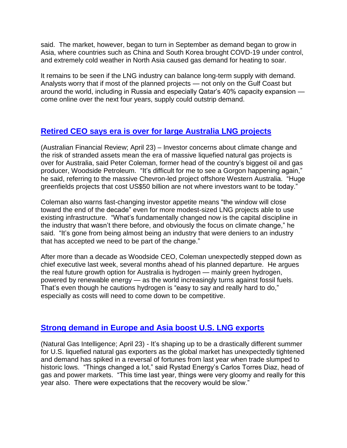said. The market, however, began to turn in September as demand began to grow in Asia, where countries such as China and South Korea brought COVD-19 under control, and extremely cold weather in North Asia caused gas demand for heating to soar.

It remains to be seen if the LNG industry can balance long-term supply with demand. Analysts worry that if most of the planned projects — not only on the Gulf Coast but around the world, including in Russia and especially Qatar's 40% capacity expansion come online over the next four years, supply could outstrip demand.

# **[Retired CEO says era is over for large Australia LNG projects](https://www.afr.com/companies/energy/coleman-calls-time-on-big-new-lng-projects-20210422-p57lii)**

(Australian Financial Review; April 23) – Investor concerns about climate change and the risk of stranded assets mean the era of massive liquefied natural gas projects is over for Australia, said Peter Coleman, former head of the country's biggest oil and gas producer, Woodside Petroleum. "It's difficult for me to see a Gorgon happening again," he said, referring to the massive Chevron-led project offshore Western Australia. "Huge greenfields projects that cost US\$50 billion are not where investors want to be today."

Coleman also warns fast-changing investor appetite means "the window will close toward the end of the decade" even for more modest-sized LNG projects able to use existing infrastructure. "What's fundamentally changed now is the capital discipline in the industry that wasn't there before, and obviously the focus on climate change," he said. "It's gone from being almost being an industry that were deniers to an industry that has accepted we need to be part of the change."

After more than a decade as Woodside CEO, Coleman unexpectedly stepped down as chief executive last week, several months ahead of his planned departure. He argues the real future growth option for Australia is hydrogen — mainly green hydrogen, powered by renewable energy — as the world increasingly turns against fossil fuels. That's even though he cautions hydrogen is "easy to say and really hard to do," especially as costs will need to come down to be competitive.

## **[Strong demand in Europe and Asia](https://www.naturalgasintel.com/u-s-lng-terminals-seen-running-at-full-capacity-through-summer-to-meet-global-demand/) boost U.S. LNG exports**

(Natural Gas Intelligence; April 23) - It's shaping up to be a drastically different summer for U.S. liquefied natural gas exporters as the global market has unexpectedly tightened and demand has spiked in a reversal of fortunes from last year when trade slumped to historic lows. "Things changed a lot," said Rystad Energy's Carlos Torres Diaz, head of gas and power markets. "This time last year, things were very gloomy and really for this year also. There were expectations that the recovery would be slow."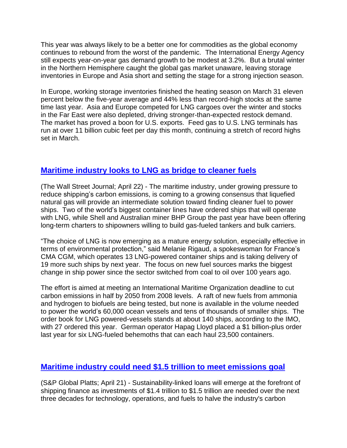This year was always likely to be a better one for commodities as the global economy continues to rebound from the worst of the pandemic. The International Energy Agency still expects year-on-year gas demand growth to be modest at 3.2%. But a brutal winter in the Northern Hemisphere caught the global gas market unaware, leaving storage inventories in Europe and Asia short and setting the stage for a strong injection season.

In Europe, working storage inventories finished the heating season on March 31 eleven percent below the five-year average and 44% less than record-high stocks at the same time last year. Asia and Europe competed for LNG cargoes over the winter and stocks in the Far East were also depleted, driving stronger-than-expected restock demand. The market has proved a boon for U.S. exports. Feed gas to U.S. LNG terminals has run at over 11 billion cubic feet per day this month, continuing a stretch of record highs set in March.

# **[Maritime](https://www.wsj.com/articles/ship-operators-move-toward-lng-to-pare-emissions-11619117449) industry looks to LNG as bridge to cleaner fuels**

(The Wall Street Journal; April 22) - The maritime industry, under growing pressure to reduce shipping's carbon emissions, is coming to a growing consensus that liquefied natural gas will provide an intermediate solution toward finding cleaner fuel to power ships. Two of the world's biggest container lines have ordered ships that will operate with LNG, while Shell and Australian miner BHP Group the past year have been offering long-term charters to shipowners willing to build gas-fueled tankers and bulk carriers.

"The choice of LNG is now emerging as a mature energy solution, especially effective in terms of environmental protection," said Melanie Rigaud, a spokeswoman for France's CMA CGM, which operates 13 LNG-powered container ships and is taking delivery of 19 more such ships by next year. The focus on new fuel sources marks the biggest change in ship power since the sector switched from coal to oil over 100 years ago.

The effort is aimed at meeting an International Maritime Organization deadline to cut carbon emissions in half by 2050 from 2008 levels. A raft of new fuels from ammonia and hydrogen to biofuels are being tested, but none is available in the volume needed to power the world's 60,000 ocean vessels and tens of thousands of smaller ships. The order book for LNG powered-vessels stands at about 140 ships, according to the IMO, with 27 ordered this year. German operator Hapag Lloyd placed a \$1 billion-plus order last year for six LNG-fueled behemoths that can each haul 23,500 containers.

## **Maritime industry could need \$1.5 trillion to meet [emissions](https://www.spglobal.com/platts/en/market-insights/latest-news/natural-gas/042121-standard-chartered-projects-up-to-15-trillion-to-decarbonize-shipping-signs-poseidon-principles) goal**

(S&P Global Platts; April 21) - Sustainability-linked loans will emerge at the forefront of shipping finance as investments of \$1.4 trillion to \$1.5 trillion are needed over the next three decades for technology, operations, and fuels to halve the industry's carbon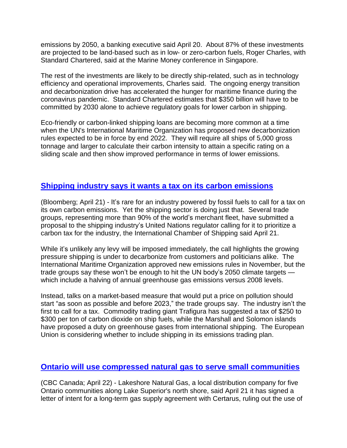emissions by 2050, a banking executive said April 20. About 87% of these investments are projected to be land-based such as in low- or zero-carbon fuels, Roger Charles, with Standard Chartered, said at the Marine Money conference in Singapore.

The rest of the investments are likely to be directly ship-related, such as in technology efficiency and operational improvements, Charles said. The ongoing energy transition and decarbonization drive has accelerated the hunger for maritime finance during the coronavirus pandemic. Standard Chartered estimates that \$350 billion will have to be committed by 2030 alone to achieve regulatory goals for lower carbon in shipping.

Eco-friendly or carbon-linked shipping loans are becoming more common at a time when the UN's International Maritime Organization has proposed new decarbonization rules expected to be in force by end 2022. They will require all ships of 5,000 gross tonnage and larger to calculate their carbon intensity to attain a specific rating on a sliding scale and then show improved performance in terms of lower emissions.

#### **Shipping industry says it wants a tax on its carbon [emissions](https://www.msn.com/en-us/news/world/the-shipping-industry-wants-to-be-taxed-for-its-carbon-emissions/ar-BB1fRWpv?)**

(Bloomberg; April 21) - It's rare for an industry powered by fossil fuels to call for a tax on its own carbon emissions. Yet the shipping sector is doing just that. Several trade groups, representing more than 90% of the world's merchant fleet, have submitted a proposal to the shipping industry's United Nations regulator calling for it to prioritize a carbon tax for the industry, the International Chamber of Shipping said April 21.

While it's unlikely any levy will be imposed immediately, the call highlights the growing pressure shipping is under to decarbonize from customers and politicians alike. The International Maritime Organization approved new emissions rules in November, but the trade groups say these won't be enough to hit the UN body's 2050 climate targets which include a halving of annual greenhouse gas emissions versus 2008 levels.

Instead, talks on a market-based measure that would put a price on pollution should start "as soon as possible and before 2023," the trade groups say. The industry isn't the first to call for a tax. Commodity trading giant Trafigura has suggested a tax of \$250 to \$300 per ton of carbon dioxide on ship fuels, while the Marshall and Solomon islands have proposed a duty on greenhouse gases from international shipping. The European Union is considering whether to include shipping in its emissions trading plan.

#### **Ontario will use compressed natural gas to serve small [communities](https://www.cbc.ca/news/canada/thunder-bay/north-shore-gas-project-lakeshore-certarus-pact-1.5997015)**

(CBC Canada; April 22) - Lakeshore Natural Gas, a local distribution company for five Ontario communities along Lake Superior's north shore, said April 21 it has signed a letter of intent for a long-term gas supply agreement with Certarus, ruling out the use of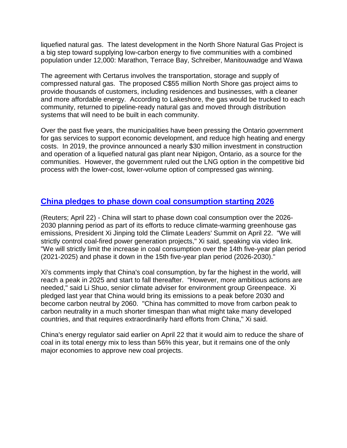liquefied natural gas. The latest development in the North Shore Natural Gas Project is a big step toward supplying low-carbon energy to five communities with a combined population under 12,000: Marathon, Terrace Bay, Schreiber, Manitouwadge and Wawa

The agreement with Certarus involves the transportation, storage and supply of compressed natural gas. The proposed C\$55 million North Shore gas project aims to provide thousands of customers, including residences and businesses, with a cleaner and more affordable energy. According to Lakeshore, the gas would be trucked to each community, returned to pipeline-ready natural gas and moved through distribution systems that will need to be built in each community.

Over the past five years, the municipalities have been pressing the Ontario government for gas services to support economic development, and reduce high heating and energy costs. In 2019, the province announced a nearly \$30 million investment in construction and operation of a liquefied natural gas plant near Nipigon, Ontario, as a source for the communities. However, the government ruled out the LNG option in the competitive bid process with the lower-cost, lower-volume option of compressed gas winning.

# **China pledges to phase down coal [consumption](https://finance.yahoo.com/news/1-chinas-xi-says-china-131253074.html) starting 2026**

(Reuters; April 22) - China will start to phase down coal consumption over the 2026- 2030 planning period as part of its efforts to reduce climate-warming greenhouse gas emissions, President Xi Jinping told the Climate Leaders' Summit on April 22. "We will strictly control coal-fired power generation projects," Xi said, speaking via video link. "We will strictly limit the increase in coal consumption over the 14th five-year plan period (2021-2025) and phase it down in the 15th five-year plan period (2026-2030)."

Xi's comments imply that China's coal consumption, by far the highest in the world, will reach a peak in 2025 and start to fall thereafter. "However, more ambitious actions are needed," said Li Shuo, senior climate adviser for environment group Greenpeace. Xi pledged last year that China would bring its emissions to a peak before 2030 and become carbon neutral by 2060. "China has committed to move from carbon peak to carbon neutrality in a much shorter timespan than what might take many developed countries, and that requires extraordinarily hard efforts from China," Xi said.

China's energy regulator said earlier on April 22 that it would aim to reduce the share of coal in its total energy mix to less than 56% this year, but it remains one of the only major economies to approve new coal projects.